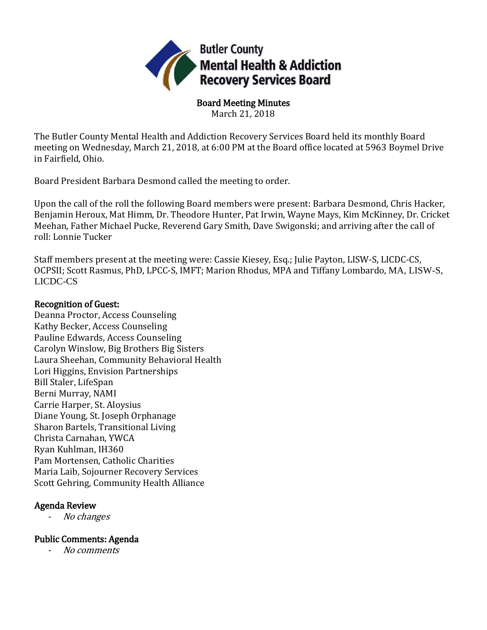

Board Meeting Minutes March 21, 2018

The Butler County Mental Health and Addiction Recovery Services Board held its monthly Board meeting on Wednesday, March 21, 2018, at 6:00 PM at the Board office located at 5963 Boymel Drive in Fairfield, Ohio.

Board President Barbara Desmond called the meeting to order.

Upon the call of the roll the following Board members were present: Barbara Desmond, Chris Hacker, Benjamin Heroux, Mat Himm, Dr. Theodore Hunter, Pat Irwin, Wayne Mays, Kim McKinney, Dr. Cricket Meehan, Father Michael Pucke, Reverend Gary Smith, Dave Swigonski; and arriving after the call of roll: Lonnie Tucker

Staff members present at the meeting were: Cassie Kiesey, Esq.; Julie Payton, LISW-S, LICDC-CS, OCPSII; Scott Rasmus, PhD, LPCC-S, IMFT; Marion Rhodus, MPA and Tiffany Lombardo, MA, LISW-S, LICDC-CS

## Recognition of Guest:

Deanna Proctor, Access Counseling Kathy Becker, Access Counseling Pauline Edwards, Access Counseling Carolyn Winslow, Big Brothers Big Sisters Laura Sheehan, Community Behavioral Health Lori Higgins, Envision Partnerships Bill Staler, LifeSpan Berni Murray, NAMI Carrie Harper, St. Aloysius Diane Young, St. Joseph Orphanage Sharon Bartels, Transitional Living Christa Carnahan, YWCA Ryan Kuhlman, IH360 Pam Mortensen, Catholic Charities Maria Laib, Sojourner Recovery Services Scott Gehring, Community Health Alliance

# Agenda Review

No changes

# Public Comments: Agenda

- No comments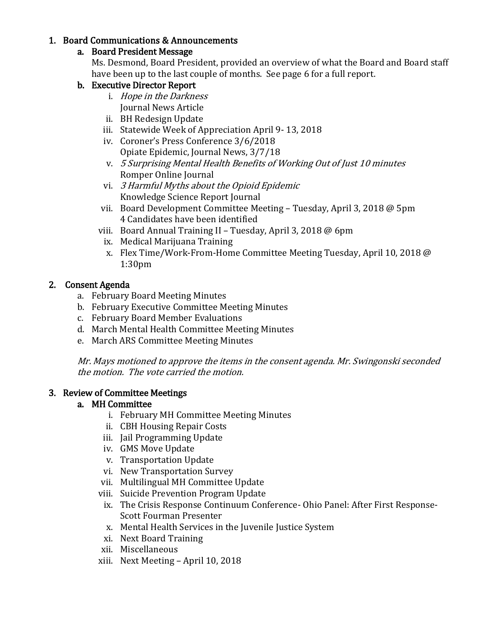## 1. Board Communications & Announcements

# a. Board President Message

Ms. Desmond, Board President, provided an overview of what the Board and Board staff have been up to the last couple of months. See page 6 for a full report.

# b. Executive Director Report

- i. Hope in the Darkness Journal News Article
- ii. BH Redesign Update
- iii. Statewide Week of Appreciation April 9- 13, 2018
- iv. Coroner's Press Conference 3/6/2018 Opiate Epidemic, Journal News, 3/7/18
- v. 5 Surprising Mental Health Benefits of Working Out of Just 10 minutes Romper Online Journal
- vi. 3 Harmful Myths about the Opioid Epidemic Knowledge Science Report Journal
- vii. Board Development Committee Meeting Tuesday, April 3, 2018 @ 5pm 4 Candidates have been identified
- viii. Board Annual Training II Tuesday, April 3, 2018 @ 6pm
- ix. Medical Marijuana Training
- x. Flex Time/Work-From-Home Committee Meeting Tuesday, April 10, 2018 @ 1:30pm

## 2. Consent Agenda

- a. February Board Meeting Minutes
- b. February Executive Committee Meeting Minutes
- c. February Board Member Evaluations
- d. March Mental Health Committee Meeting Minutes
- e. March ARS Committee Meeting Minutes

Mr. Mays motioned to approve the items in the consent agenda. Mr. Swingonski seconded the motion. The vote carried the motion.

#### 3. Review of Committee Meetings

# a. MH Committee

- i. February MH Committee Meeting Minutes
- ii. CBH Housing Repair Costs
- iii. Jail Programming Update
- iv. GMS Move Update
- v. Transportation Update
- vi. New Transportation Survey
- vii. Multilingual MH Committee Update
- viii. Suicide Prevention Program Update
- ix. The Crisis Response Continuum Conference- Ohio Panel: After First Response-Scott Fourman Presenter
- x. Mental Health Services in the Juvenile Justice System
- xi. Next Board Training
- xii. Miscellaneous
- xiii. Next Meeting April 10, 2018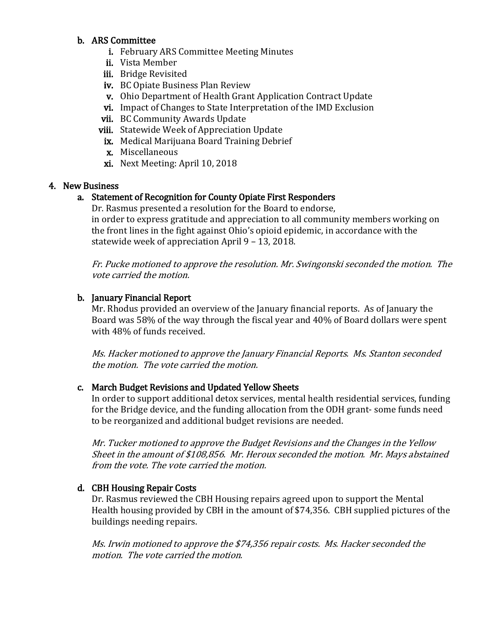#### b. ARS Committee

- i. February ARS Committee Meeting Minutes
- ii. Vista Member
- iii. Bridge Revisited
- iv. BC Opiate Business Plan Review
- v. Ohio Department of Health Grant Application Contract Update
- vi. Impact of Changes to State Interpretation of the IMD Exclusion
- vii. BC Community Awards Update
- viii. Statewide Week of Appreciation Update
- ix. Medical Marijuana Board Training Debrief
- x. Miscellaneous
- xi. Next Meeting: April 10, 2018

#### 4. New Business

## a. Statement of Recognition for County Opiate First Responders

Dr. Rasmus presented a resolution for the Board to endorse, in order to express gratitude and appreciation to all community members working on the front lines in the fight against Ohio's opioid epidemic, in accordance with the statewide week of appreciation April 9 – 13, 2018.

Fr. Pucke motioned to approve the resolution. Mr. Swingonski seconded the motion. The vote carried the motion.

## b. January Financial Report

Mr. Rhodus provided an overview of the January financial reports. As of January the Board was 58% of the way through the fiscal year and 40% of Board dollars were spent with 48% of funds received.

Ms. Hacker motioned to approve the January Financial Reports. Ms. Stanton seconded the motion. The vote carried the motion.

# c. March Budget Revisions and Updated Yellow Sheets

In order to support additional detox services, mental health residential services, funding for the Bridge device, and the funding allocation from the ODH grant- some funds need to be reorganized and additional budget revisions are needed.

Mr. Tucker motioned to approve the Budget Revisions and the Changes in the Yellow Sheet in the amount of \$108,856. Mr. Heroux seconded the motion. Mr. Mays abstained from the vote. The vote carried the motion.

# d. CBH Housing Repair Costs

Dr. Rasmus reviewed the CBH Housing repairs agreed upon to support the Mental Health housing provided by CBH in the amount of \$74,356. CBH supplied pictures of the buildings needing repairs.

Ms. Irwin motioned to approve the \$74,356 repair costs. Ms. Hacker seconded the motion. The vote carried the motion.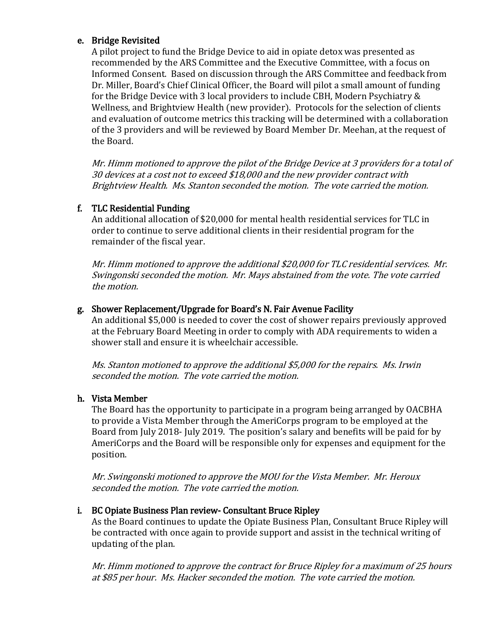#### e. Bridge Revisited

A pilot project to fund the Bridge Device to aid in opiate detox was presented as recommended by the ARS Committee and the Executive Committee, with a focus on Informed Consent. Based on discussion through the ARS Committee and feedback from Dr. Miller, Board's Chief Clinical Officer, the Board will pilot a small amount of funding for the Bridge Device with 3 local providers to include CBH, Modern Psychiatry & Wellness, and Brightview Health (new provider). Protocols for the selection of clients and evaluation of outcome metrics this tracking will be determined with a collaboration of the 3 providers and will be reviewed by Board Member Dr. Meehan, at the request of the Board.

Mr. Himm motioned to approve the pilot of the Bridge Device at 3 providers for a total of 30 devices at a cost not to exceed \$18,000 and the new provider contract with Brightview Health. Ms. Stanton seconded the motion. The vote carried the motion.

## f. TLC Residential Funding

An additional allocation of \$20,000 for mental health residential services for TLC in order to continue to serve additional clients in their residential program for the remainder of the fiscal year.

Mr. Himm motioned to approve the additional \$20,000 for TLC residential services. Mr. Swingonski seconded the motion. Mr. Mays abstained from the vote. The vote carried the motion.

# g. Shower Replacement/Upgrade for Board's N. Fair Avenue Facility

An additional \$5,000 is needed to cover the cost of shower repairs previously approved at the February Board Meeting in order to comply with ADA requirements to widen a shower stall and ensure it is wheelchair accessible.

Ms. Stanton motioned to approve the additional \$5,000 for the repairs. Ms. Irwin seconded the motion. The vote carried the motion.

# h. Vista Member

The Board has the opportunity to participate in a program being arranged by OACBHA to provide a Vista Member through the AmeriCorps program to be employed at the Board from July 2018- July 2019. The position's salary and benefits will be paid for by AmeriCorps and the Board will be responsible only for expenses and equipment for the position.

Mr. Swingonski motioned to approve the MOU for the Vista Member. Mr. Heroux seconded the motion. The vote carried the motion.

# i. BC Opiate Business Plan review- Consultant Bruce Ripley

As the Board continues to update the Opiate Business Plan, Consultant Bruce Ripley will be contracted with once again to provide support and assist in the technical writing of updating of the plan.

Mr. Himm motioned to approve the contract for Bruce Ripley for a maximum of 25 hours at \$85 per hour. Ms. Hacker seconded the motion. The vote carried the motion.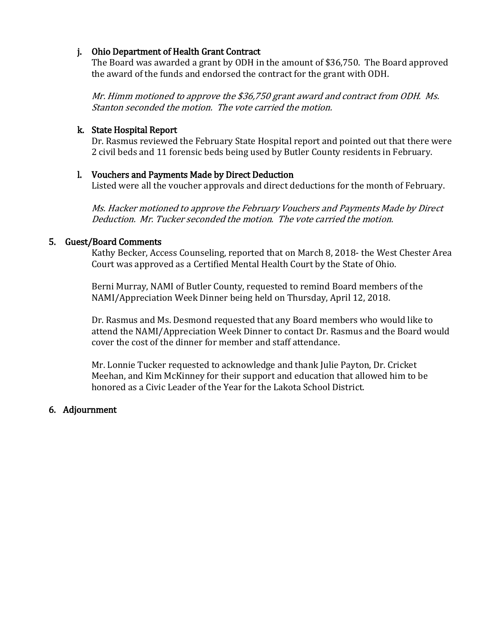## j. Ohio Department of Health Grant Contract

The Board was awarded a grant by ODH in the amount of \$36,750. The Board approved the award of the funds and endorsed the contract for the grant with ODH.

Mr. Himm motioned to approve the \$36,750 grant award and contract from ODH. Ms. Stanton seconded the motion. The vote carried the motion.

## k. State Hospital Report

Dr. Rasmus reviewed the February State Hospital report and pointed out that there were 2 civil beds and 11 forensic beds being used by Butler County residents in February.

## l. Vouchers and Payments Made by Direct Deduction

Listed were all the voucher approvals and direct deductions for the month of February.

Ms. Hacker motioned to approve the February Vouchers and Payments Made by Direct Deduction. Mr. Tucker seconded the motion. The vote carried the motion.

## 5. Guest/Board Comments

Kathy Becker, Access Counseling, reported that on March 8, 2018- the West Chester Area Court was approved as a Certified Mental Health Court by the State of Ohio.

Berni Murray, NAMI of Butler County, requested to remind Board members of the NAMI/Appreciation Week Dinner being held on Thursday, April 12, 2018.

Dr. Rasmus and Ms. Desmond requested that any Board members who would like to attend the NAMI/Appreciation Week Dinner to contact Dr. Rasmus and the Board would cover the cost of the dinner for member and staff attendance.

Mr. Lonnie Tucker requested to acknowledge and thank Julie Payton, Dr. Cricket Meehan, and Kim McKinney for their support and education that allowed him to be honored as a Civic Leader of the Year for the Lakota School District.

# 6. Adjournment